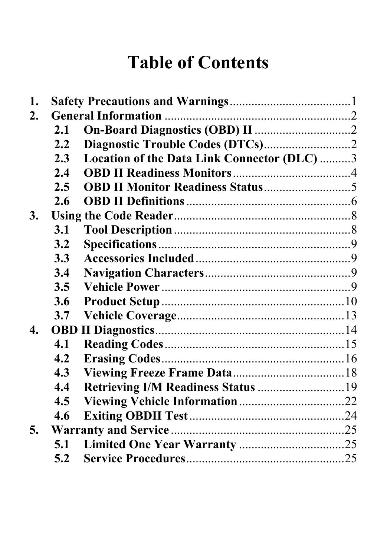# **Table of Contents**

| 1. |         |                                             |  |
|----|---------|---------------------------------------------|--|
| 2. |         |                                             |  |
|    | 2.1     |                                             |  |
|    | $2.2\,$ |                                             |  |
|    | 2.3     | Location of the Data Link Connector (DLC) 3 |  |
|    | 2.4     |                                             |  |
|    | 2.5     |                                             |  |
|    | 2.6     |                                             |  |
| 3. |         |                                             |  |
|    | 3.1     |                                             |  |
|    | 3.2     |                                             |  |
|    | 3.3     |                                             |  |
|    | 3.4     |                                             |  |
|    | 3.5     |                                             |  |
|    | 3.6     |                                             |  |
|    | 3.7     |                                             |  |
| 4. |         |                                             |  |
|    | 4.1     |                                             |  |
|    | 4.2     |                                             |  |
|    | 4.3     |                                             |  |
|    | 4.4     |                                             |  |
|    | 4.5     |                                             |  |
|    | 4.6     |                                             |  |
| 5. |         |                                             |  |
|    | 5.1     |                                             |  |
|    | 5.2     |                                             |  |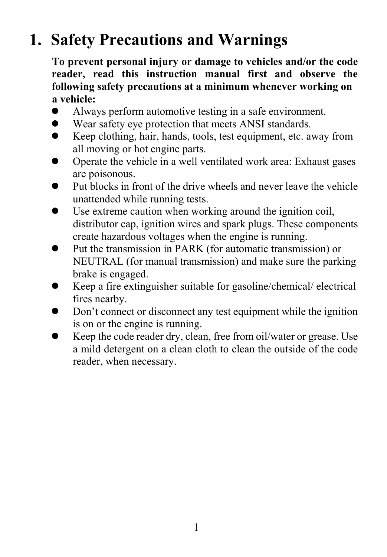# **1. Safety Precautions and Warnings**

**To prevent personal injury or damage to vehicles and/or the code reader, read this instruction manual first and observe the following safety precautions at a minimum whenever working on a vehicle:** 

- Always perform automotive testing in a safe environment.
- Wear safety eye protection that meets ANSI standards.
- $\bullet$  Keep clothing, hair, hands, tools, test equipment, etc. away from all moving or hot engine parts.
- Operate the vehicle in a well ventilated work area: Exhaust gases are poisonous.
- Put blocks in front of the drive wheels and never leave the vehicle unattended while running tests.
- $\bullet$  Use extreme caution when working around the ignition coil, distributor cap, ignition wires and spark plugs. These components create hazardous voltages when the engine is running.
- Put the transmission in PARK (for automatic transmission) or NEUTRAL (for manual transmission) and make sure the parking brake is engaged.
- $\bullet$  Keep a fire extinguisher suitable for gasoline/chemical/ electrical fires nearby.
- Don't connect or disconnect any test equipment while the ignition is on or the engine is running.
- Keep the code reader dry, clean, free from oil/water or grease. Use a mild detergent on a clean cloth to clean the outside of the code reader, when necessary.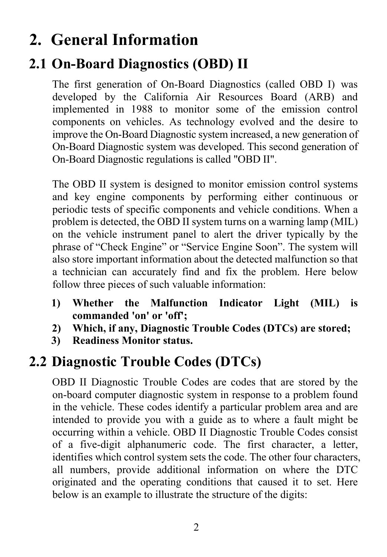# **2. General Information**

## **2.1 On-Board Diagnostics (OBD) II**

The first generation of On-Board Diagnostics (called OBD I) was developed by the California Air Resources Board (ARB) and implemented in 1988 to monitor some of the emission control components on vehicles. As technology evolved and the desire to improve the On-Board Diagnostic system increased, a new generation of On-Board Diagnostic system was developed. This second generation of On-Board Diagnostic regulations is called "OBD II".

The OBD II system is designed to monitor emission control systems and key engine components by performing either continuous or periodic tests of specific components and vehicle conditions. When a problem is detected, the OBD II system turns on a warning lamp (MIL) on the vehicle instrument panel to alert the driver typically by the phrase of "Check Engine" or "Service Engine Soon". The system will also store important information about the detected malfunction so that a technician can accurately find and fix the problem. Here below follow three pieces of such valuable information:

- **1) Whether the Malfunction Indicator Light (MIL) is commanded 'on' or 'off';**
- **2) Which, if any, Diagnostic Trouble Codes (DTCs) are stored;**
- **3) Readiness Monitor status.**

## **2.2 Diagnostic Trouble Codes (DTCs)**

OBD II Diagnostic Trouble Codes are codes that are stored by the on-board computer diagnostic system in response to a problem found in the vehicle. These codes identify a particular problem area and are intended to provide you with a guide as to where a fault might be occurring within a vehicle. OBD II Diagnostic Trouble Codes consist of a five-digit alphanumeric code. The first character, a letter, identifies which control system sets the code. The other four characters, all numbers, provide additional information on where the DTC originated and the operating conditions that caused it to set. Here below is an example to illustrate the structure of the digits: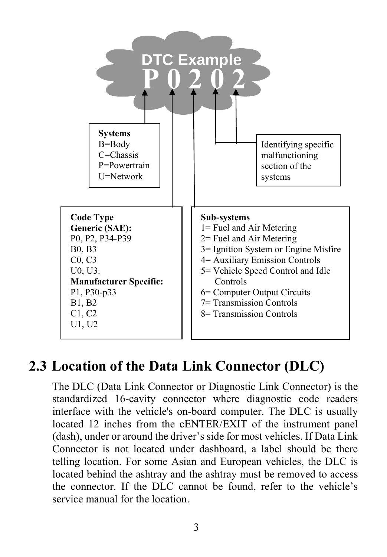

### **2.3 Location of the Data Link Connector (DLC)**

The DLC (Data Link Connector or Diagnostic Link Connector) is the standardized 16-cavity connector where diagnostic code readers interface with the vehicle's on-board computer. The DLC is usually located 12 inches from the cENTER/EXIT of the instrument panel (dash), under or around the driver's side for most vehicles. If Data Link Connector is not located under dashboard, a label should be there telling location. For some Asian and European vehicles, the DLC is located behind the ashtray and the ashtray must be removed to access the connector. If the DLC cannot be found, refer to the vehicle's service manual for the location.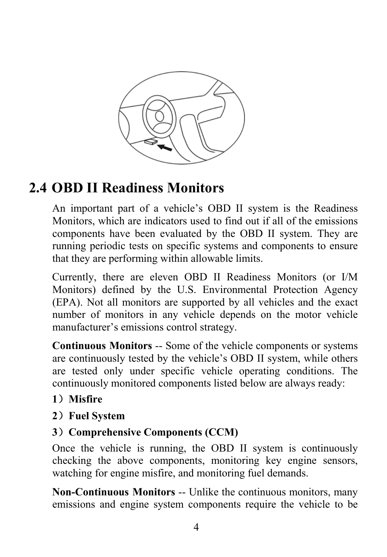

# **2.4 OBD II Readiness Monitors**

An important part of a vehicle's OBD II system is the Readiness Monitors, which are indicators used to find out if all of the emissions components have been evaluated by the OBD II system. They are running periodic tests on specific systems and components to ensure that they are performing within allowable limits.

Currently, there are eleven OBD II Readiness Monitors (or I/M Monitors) defined by the U.S. Environmental Protection Agency (EPA). Not all monitors are supported by all vehicles and the exact number of monitors in any vehicle depends on the motor vehicle manufacturer's emissions control strategy.

**Continuous Monitors** -- Some of the vehicle components or systems are continuously tested by the vehicle's OBD II system, while others are tested only under specific vehicle operating conditions. The continuously monitored components listed below are always ready:

#### **1**)**Misfire**

#### **2**)**Fuel System**

#### **3**)**Comprehensive Components (CCM)**

Once the vehicle is running, the OBD II system is continuously checking the above components, monitoring key engine sensors, watching for engine misfire, and monitoring fuel demands.

**Non-Continuous Monitors** -- Unlike the continuous monitors, many emissions and engine system components require the vehicle to be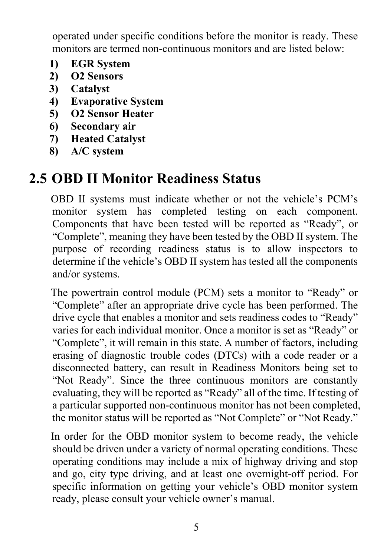operated under specific conditions before the monitor is ready. These monitors are termed non-continuous monitors and are listed below:

- **1) EGR System**
- **2) O2 Sensors**
- **3) Catalyst**
- **4) Evaporative System**
- **5) O2 Sensor Heater**
- **6) Secondary air**
- **7) Heated Catalyst**
- **8) A/C system**

### **2.5 OBD II Monitor Readiness Status**

OBD II systems must indicate whether or not the vehicle's PCM's monitor system has completed testing on each component. Components that have been tested will be reported as "Ready", or "Complete", meaning they have been tested by the OBD II system. The purpose of recording readiness status is to allow inspectors to determine if the vehicle's OBD II system has tested all the components and/or systems.

The powertrain control module (PCM) sets a monitor to "Ready" or "Complete" after an appropriate drive cycle has been performed. The drive cycle that enables a monitor and sets readiness codes to "Ready" varies for each individual monitor. Once a monitor is set as "Ready" or "Complete", it will remain in this state. A number of factors, including erasing of diagnostic trouble codes (DTCs) with a code reader or a disconnected battery, can result in Readiness Monitors being set to "Not Ready". Since the three continuous monitors are constantly evaluating, they will be reported as "Ready" all of the time. If testing of a particular supported non-continuous monitor has not been completed, the monitor status will be reported as "Not Complete" or "Not Ready."

In order for the OBD monitor system to become ready, the vehicle should be driven under a variety of normal operating conditions. These operating conditions may include a mix of highway driving and stop and go, city type driving, and at least one overnight-off period. For specific information on getting your vehicle's OBD monitor system ready, please consult your vehicle owner's manual.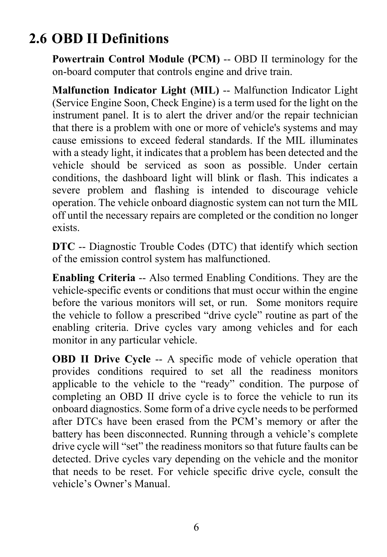# **2.6 OBD II Definitions**

**Powertrain Control Module (PCM)** -- OBD II terminology for the on-board computer that controls engine and drive train.

**Malfunction Indicator Light (MIL)** -- Malfunction Indicator Light (Service Engine Soon, Check Engine) is a term used for the light on the instrument panel. It is to alert the driver and/or the repair technician that there is a problem with one or more of vehicle's systems and may cause emissions to exceed federal standards. If the MIL illuminates with a steady light, it indicates that a problem has been detected and the vehicle should be serviced as soon as possible. Under certain conditions, the dashboard light will blink or flash. This indicates a severe problem and flashing is intended to discourage vehicle operation. The vehicle onboard diagnostic system can not turn the MIL off until the necessary repairs are completed or the condition no longer exists.

**DTC** -- Diagnostic Trouble Codes (DTC) that identify which section of the emission control system has malfunctioned.

**Enabling Criteria** -- Also termed Enabling Conditions. They are the vehicle-specific events or conditions that must occur within the engine before the various monitors will set, or run. Some monitors require the vehicle to follow a prescribed "drive cycle" routine as part of the enabling criteria. Drive cycles vary among vehicles and for each monitor in any particular vehicle.

**OBD II Drive Cycle --** A specific mode of vehicle operation that provides conditions required to set all the readiness monitors applicable to the vehicle to the "ready" condition. The purpose of completing an OBD II drive cycle is to force the vehicle to run its onboard diagnostics. Some form of a drive cycle needs to be performed after DTCs have been erased from the PCM's memory or after the battery has been disconnected. Running through a vehicle's complete drive cycle will "set" the readiness monitors so that future faults can be detected. Drive cycles vary depending on the vehicle and the monitor that needs to be reset. For vehicle specific drive cycle, consult the vehicle's Owner's Manual.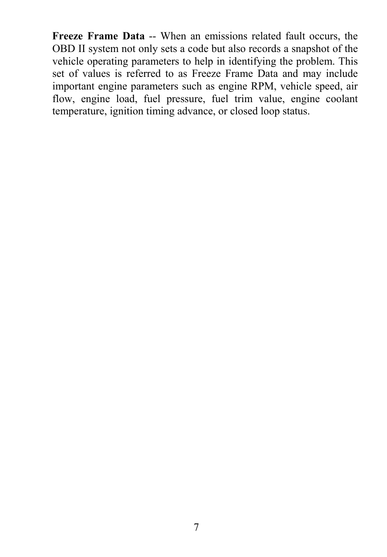**Freeze Frame Data** -- When an emissions related fault occurs, the OBD II system not only sets a code but also records a snapshot of the vehicle operating parameters to help in identifying the problem. This set of values is referred to as Freeze Frame Data and may include important engine parameters such as engine RPM, vehicle speed, air flow, engine load, fuel pressure, fuel trim value, engine coolant temperature, ignition timing advance, or closed loop status.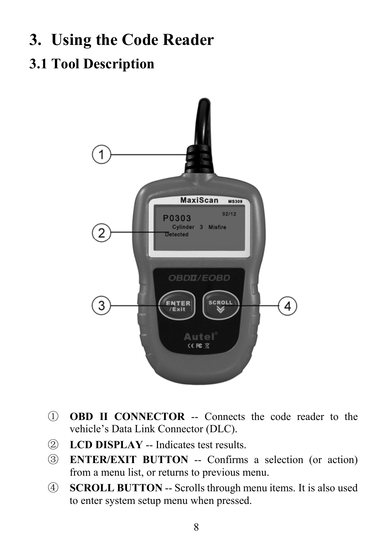# **3. Using the Code Reader**

# **3.1 Tool Description**



- ① **OBD II CONNECTOR** -- Connects the code reader to the vehicle's Data Link Connector (DLC).
- ② **LCD DISPLAY** -- Indicates test results.
- ③ **ENTER/EXIT BUTTON** -- Confirms a selection (or action) from a menu list, or returns to previous menu.
- ④ **SCROLL BUTTON** -- Scrolls through menu items. It is also used to enter system setup menu when pressed.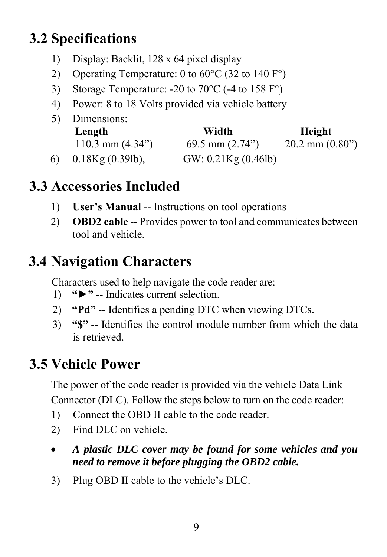# **3.2 Specifications**

- 1) Display: Backlit, 128 x 64 pixel display
- 2) Operating Temperature: 0 to  $60^{\circ}$ C (32 to 140 F°)
- 3) Storage Temperature: -20 to 70°C (-4 to 158 F°)
- 4) Power: 8 to 18 Volts provided via vehicle battery

|    | 5) Dimensions:            |                     |                            |  |  |  |
|----|---------------------------|---------------------|----------------------------|--|--|--|
|    | Length                    | Width               | Height                     |  |  |  |
|    | 110.3 mm $(4.34^{\circ})$ | 69.5 mm $(2.74)$    | $20.2$ mm $(0.80^{\circ})$ |  |  |  |
| 6) | $0.18$ Kg $(0.39$ lb),    | GW: 0.21Kg (0.46lb) |                            |  |  |  |

# **3.3 Accessories Included**

- 1) **User's Manual** -- Instructions on tool operations
- 2) **OBD2 cable** -- Provides power to tool and communicates between tool and vehicle.

# **3.4 Navigation Characters**

Characters used to help navigate the code reader are:

- 1) **"►"** -- Indicates current selection.
- 2) **"Pd"** -- Identifies a pending DTC when viewing DTCs.
- 3) **"\$"** -- Identifies the control module number from which the data is retrieved.

# **3.5 Vehicle Power**

The power of the code reader is provided via the vehicle Data Link Connector (DLC). Follow the steps below to turn on the code reader:

- 1) Connect the OBD II cable to the code reader.
- 2) Find DLC on vehicle.
- *A plastic DLC cover may be found for some vehicles and you need to remove it before plugging the OBD2 cable.*
- 3) Plug OBD II cable to the vehicle's DLC.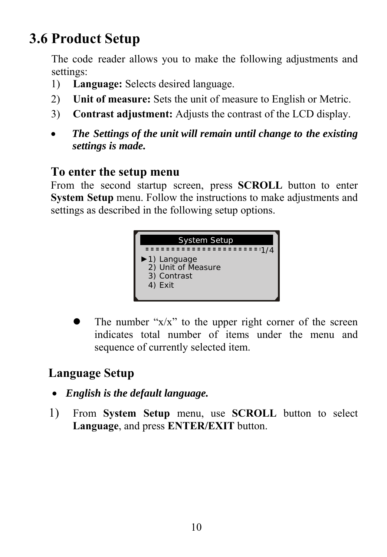# **3.6 Product Setup**

The code reader allows you to make the following adjustments and settings:

- 1) **Language:** Selects desired language.
- 2) **Unit of measure:** Sets the unit of measure to English or Metric.
- 3) **Contrast adjustment:** Adjusts the contrast of the LCD display.
- *The Settings of the unit will remain until change to the existing settings is made.*

#### **To enter the setup menu**

From the second startup screen, press **SCROLL** button to enter **System Setup** menu. Follow the instructions to make adjustments and settings as described in the following setup options.



The number " $x/x$ " to the upper right corner of the screen indicates total number of items under the menu and sequence of currently selected item.

#### **Language Setup**

- *English is the default language.*
- 1) From **System Setup** menu, use **SCROLL** button to select **Language**, and press **ENTER/EXIT** button.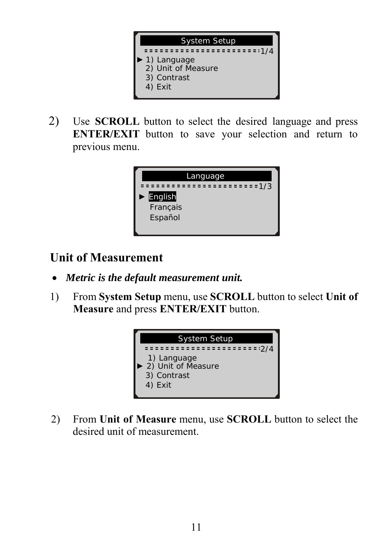

2) Use **SCROLL** button to select the desired language and press **ENTER/EXIT** button to save your selection and return to previous menu.



#### **Unit of Measurement**

- *Metric is the default measurement unit.*
- 1) From **System Setup** menu, use **SCROLL** button to select **Unit of Measure** and press **ENTER/EXIT** button.



2) From **Unit of Measure** menu, use **SCROLL** button to select the desired unit of measurement.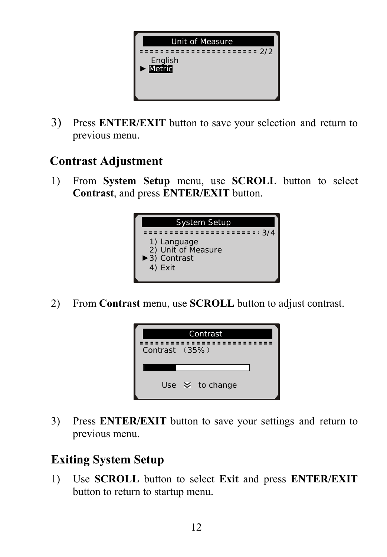

3) Press **ENTER/EXIT** button to save your selection and return to previous menu.

#### **Contrast Adjustment**

1) From **System Setup** menu, use **SCROLL** button to select **Contrast**, and press **ENTER/EXIT** button.



2) From **Contrast** menu, use **SCROLL** button to adjust contrast.



3) Press **ENTER/EXIT** button to save your settings and return to previous menu.

#### **Exiting System Setup**

1) Use **SCROLL** button to select **Exit** and press **ENTER/EXIT** button to return to startup menu.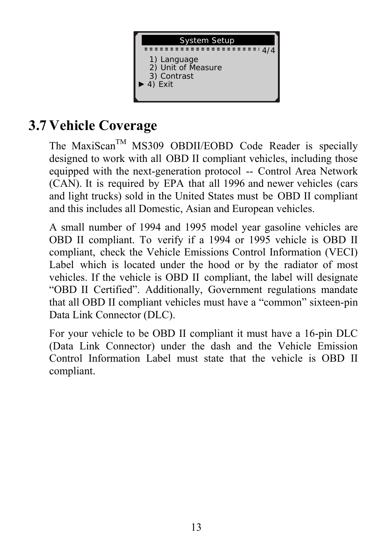

# **3.7 Vehicle Coverage**

The MaxiScan<sup>TM</sup> MS309 OBDII/EOBD Code Reader is specially designed to work with all OBD II compliant vehicles, including those equipped with the next-generation protocol -- Control Area Network (CAN). It is required by EPA that all 1996 and newer vehicles (cars and light trucks) sold in the United States must be OBD II compliant and this includes all Domestic, Asian and European vehicles.

A small number of 1994 and 1995 model year gasoline vehicles are OBD II compliant. To verify if a 1994 or 1995 vehicle is OBD II compliant, check the Vehicle Emissions Control Information (VECI) Label which is located under the hood or by the radiator of most vehicles. If the vehicle is OBD II compliant, the label will designate "OBD II Certified". Additionally, Government regulations mandate that all OBD II compliant vehicles must have a "common" sixteen-pin Data Link Connector (DLC).

For your vehicle to be OBD II compliant it must have a [16-pin DLC](http://www.obd2.com/obdii_dlc.htm) (Data Link Connector) under the dash and the Vehicle Emission Control Information Label must state that the vehicle is OBD II compliant.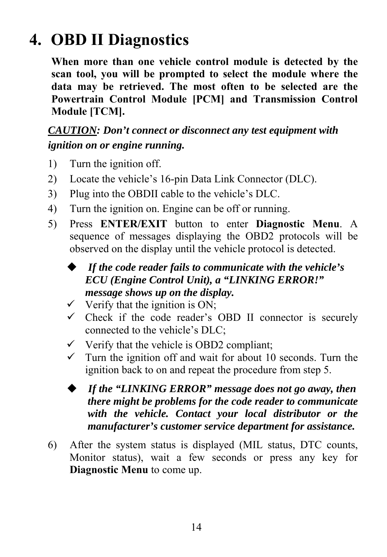# **4. OBD II Diagnostics**

**When more than one vehicle control module is detected by the scan tool, you will be prompted to select the module where the data may be retrieved. The most often to be selected are the Powertrain Control Module [PCM] and Transmission Control Module [TCM].** 

#### *CAUTION: Don't connect or disconnect any test equipment with ignition on or engine running.*

- 1) Turn the ignition off.
- 2) Locate the vehicle's 16-pin Data Link Connector (DLC).
- 3) Plug into the OBDII cable to the vehicle's DLC.
- 4) Turn the ignition on. Engine can be off or running.
- 5) Press **ENTER/EXIT** button to enter **Diagnostic Menu**. A sequence of messages displaying the OBD2 protocols will be observed on the display until the vehicle protocol is detected.
	- *If the code reader fails to communicate with the vehicle's ECU (Engine Control Unit), a "LINKING ERROR!" message shows up on the display.*
	- $\checkmark$  Verify that the ignition is ON;
	- $\checkmark$  Check if the code reader's OBD II connector is securely connected to the vehicle's DLC;
	- $\checkmark$  Verify that the vehicle is OBD2 compliant;
	- $\checkmark$  Turn the ignition off and wait for about 10 seconds. Turn the ignition back to on and repeat the procedure from step 5.
	- *If the "LINKING ERROR" message does not go away, then there might be problems for the code reader to communicate with the vehicle. Contact your local distributor or the manufacturer's customer service department for assistance.*
- 6) After the system status is displayed (MIL status, DTC counts, Monitor status), wait a few seconds or press any key for **Diagnostic Menu** to come up.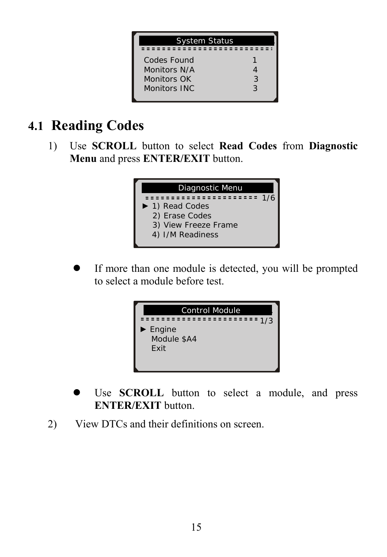

### **4.1 Reading Codes**

1) Use **SCROLL** button to select **Read Codes** from **Diagnostic Menu** and press **ENTER/EXIT** button.



If more than one module is detected, you will be prompted to select a module before test.



- Use **SCROLL** button to select a module, and press **ENTER/EXIT** button.
- 2) View DTCs and their definitions on screen.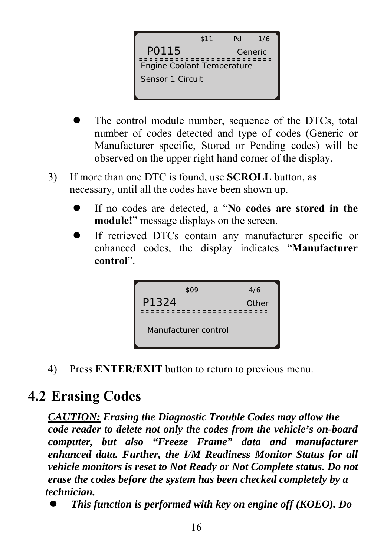

- The control module number, sequence of the DTCs, total number of codes detected and type of codes (Generic or Manufacturer specific, Stored or Pending codes) will be observed on the upper right hand corner of the display.
- 3) If more than one DTC is found, use **SCROLL** button, as necessary, until all the codes have been shown up.
	- If no codes are detected, a "No codes are stored in the **module!**" message displays on the screen.
	- If retrieved DTCs contain any manufacturer specific or enhanced codes, the display indicates "**Manufacturer control**".



4) Press **ENTER/EXIT** button to return to previous menu.

### **4.2 Erasing Codes**

*CAUTION: Erasing the Diagnostic Trouble Codes may allow the code reader to delete not only the codes from the vehicle's on-board computer, but also "Freeze Frame" data and manufacturer enhanced data. Further, the I/M Readiness Monitor Status for all vehicle monitors is reset to Not Ready or Not Complete status. Do not erase the codes before the system has been checked completely by a technician.* 

**•** This function is performed with key on engine off (KOEO). Do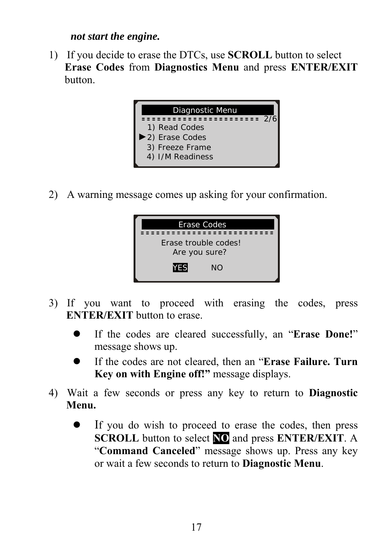#### *not start the engine.*

1) If you decide to erase the DTCs, use **SCROLL** button to select **Erase Codes** from **Diagnostics Menu** and press **ENTER/EXIT** button.



2) A warning message comes up asking for your confirmation.



- 3) If you want to proceed with erasing the codes, press **ENTER/EXIT** button to erase.
	- If the codes are cleared successfully, an "**Erase Done!**" message shows up.
	- **•** If the codes are not cleared, then an "**Erase Failure. Turn Key on with Engine off!"** message displays.
- 4) Wait a few seconds or press any key to return to **Diagnostic Menu.**
	- If you do wish to proceed to erase the codes, then press **SCROLL** button to select **NO** and press **ENTER/EXIT**. A "**Command Canceled**" message shows up. Press any key or wait a few seconds to return to **Diagnostic Menu**.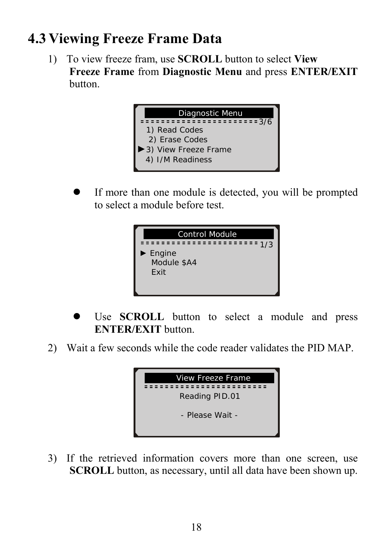## **4.3 Viewing Freeze Frame Data**

1) To view freeze fram, use **SCROLL** button to select **View Freeze Frame** from **Diagnostic Menu** and press **ENTER/EXIT** button.



If more than one module is detected, you will be prompted to select a module before test.



- Use **SCROLL** button to select a module and press **ENTER/EXIT** button.
- 2) Wait a few seconds while the code reader validates the PID MAP.



3) If the retrieved information covers more than one screen, use **SCROLL** button, as necessary, until all data have been shown up.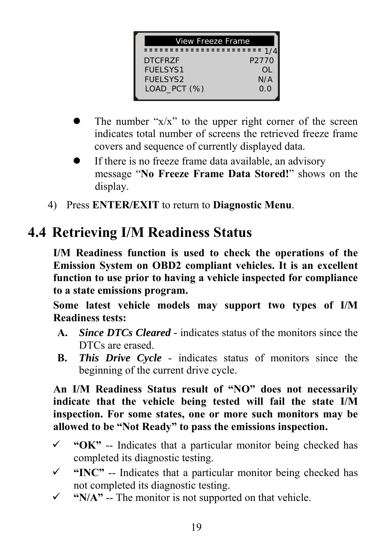| View Freeze Frame |       |  |
|-------------------|-------|--|
| ------            |       |  |
| <b>DTCFR7F</b>    | P2770 |  |
| <b>FUELSYS1</b>   | OL    |  |
| <b>FUELSYS2</b>   | N/A   |  |
| LOAD_PCT (%)      | 0.0   |  |
|                   |       |  |

- The number " $x/x$ " to the upper right corner of the screen indicates total number of screens the retrieved freeze frame covers and sequence of currently displayed data.
- $\bullet$  If there is no freeze frame data available, an advisory message "**No Freeze Frame Data Stored!**" shows on the display.
- 4) Press **ENTER/EXIT** to return to **Diagnostic Menu**.

# **4.4 Retrieving I/M Readiness Status**

**I/M Readiness function is used to check the operations of the Emission System on OBD2 compliant vehicles. It is an excellent function to use prior to having a vehicle inspected for compliance to a state emissions program.** 

**Some latest vehicle models may support two types of I/M Readiness tests:** 

- **A.** *Since DTCs Cleared -* indicates status of the monitors since the DTCs are erased.
- **B.** *This Drive Cycle*  indicates status of monitors since the beginning of the current drive cycle.

**An I/M Readiness Status result of "NO" does not necessarily indicate that the vehicle being tested will fail the state I/M inspection. For some states, one or more such monitors may be allowed to be "Not Ready" to pass the emissions inspection.** 

- $\checkmark$  "OK" -- Indicates that a particular monitor being checked has completed its diagnostic testing.
- 9 **"INC"** -- Indicates that a particular monitor being checked has not completed its diagnostic testing.
- $\checkmark$  "N/A" -- The monitor is not supported on that vehicle.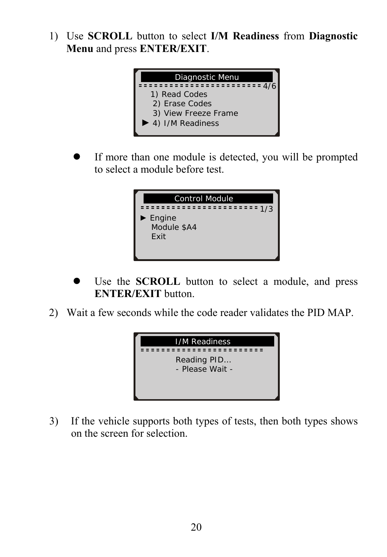1) Use **SCROLL** button to select **I/M Readiness** from **Diagnostic Menu** and press **ENTER/EXIT**.



• If more than one module is detected, you will be prompted to select a module before test.



- Use the **SCROLL** button to select a module, and press **ENTER/EXIT** button.
- 2) Wait a few seconds while the code reader validates the PID MAP.



3) If the vehicle supports both types of tests, then both types shows on the screen for selection.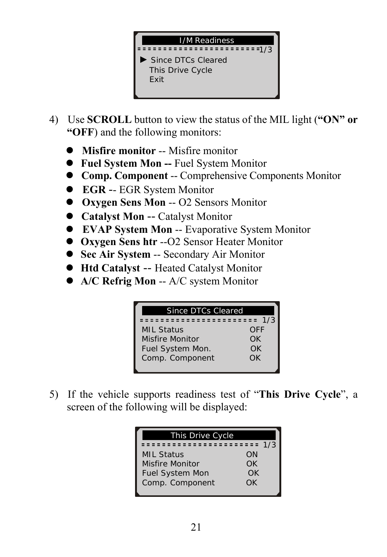

- 4) Use **SCROLL** button to view the status of the MIL light (**"ON" or "OFF**) and the following monitors:
	- **Misfire monitor** -- Misfire monitor
	- z **Fuel System Mon --** Fuel System Monitor
	- z **Comp. Component** -- Comprehensive Components Monitor
	- z **EGR** -- EGR System Monitor
	- z **Oxygen Sens Mon** -- O2 Sensors Monitor
	- **Catalyst Mon -- Catalyst Monitor**
	- **EVAP System Mon -- Evaporative System Monitor**
	- z **Oxygen Sens htr** --O2 Sensor Heater Monitor
	- **Sec Air System -- Secondary Air Monitor**
	- z **Htd Catalyst** -- Heated Catalyst Monitor
	- z **A/C Refrig Mon** -- A/C system Monitor

| Since DTCs Cleared |     |  |  |  |
|--------------------|-----|--|--|--|
| =================  | 1/3 |  |  |  |
| <b>MIL Status</b>  | OFF |  |  |  |
| Misfire Monitor    | ΩK  |  |  |  |
| Fuel System Mon.   | OK. |  |  |  |
| Comp. Component    | ΩK  |  |  |  |
|                    |     |  |  |  |

5) If the vehicle supports readiness test of "**This Drive Cycle**", a screen of the following will be displayed:

| This Drive Cycle       |     |  |  |  |
|------------------------|-----|--|--|--|
|                        | 1/3 |  |  |  |
| <b>MIL Status</b>      | ΩN  |  |  |  |
| Misfire Monitor        | ΩK  |  |  |  |
| <b>Fuel System Mon</b> | OK  |  |  |  |
| Comp. Component        | ΩK  |  |  |  |
|                        |     |  |  |  |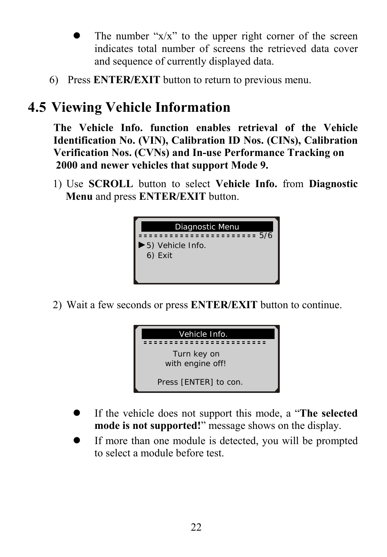- The number " $x/x$ " to the upper right corner of the screen indicates total number of screens the retrieved data cover and sequence of currently displayed data.
- 6) Press **ENTER/EXIT** button to return to previous menu.

# **4.5 Viewing Vehicle Information**

**The Vehicle Info. function enables retrieval of the Vehicle Identification No. (VIN), Calibration ID Nos. (CINs), Calibration Verification Nos. (CVNs) and In-use Performance Tracking on 2000 and newer vehicles that support Mode 9.** 

1) Use **SCROLL** button to select **Vehicle Info.** from **Diagnostic Menu** and press **ENTER/EXIT** button.



2) Wait a few seconds or press **ENTER/EXIT** button to continue.



- If the vehicle does not support this mode, a "**The selected mode is not supported!**" message shows on the display.
- If more than one module is detected, you will be prompted to select a module before test.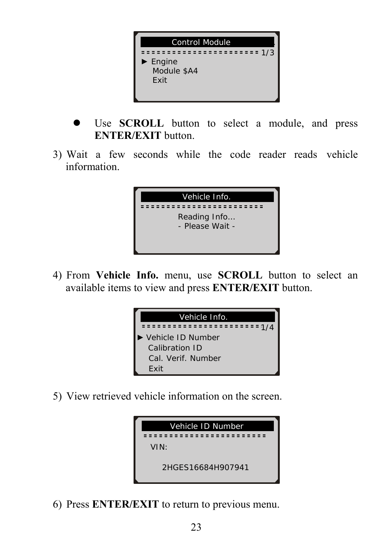

- Use **SCROLL** button to select a module, and press **ENTER/EXIT** button.
- 3) Wait a few seconds while the code reader reads vehicle information.



4) From **Vehicle Info.** menu, use **SCROLL** button to select an available items to view and press **ENTER/EXIT** button.



5) View retrieved vehicle information on the screen.



6) Press **ENTER/EXIT** to return to previous menu.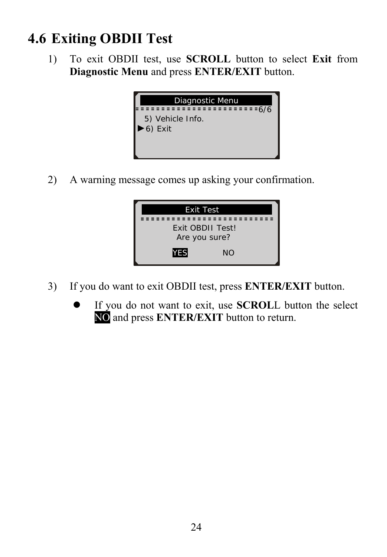# **4.6 Exiting OBDII Test**

1) To exit OBDII test, use **SCROLL** button to select **Exit** from **Diagnostic Menu** and press **ENTER/EXIT** button.



2) A warning message comes up asking your confirmation.



- 3) If you do want to exit OBDII test, press **ENTER/EXIT** button.
	- If you do not want to exit, use **SCROLL** button the select NO and press **ENTER/EXIT** button to return.